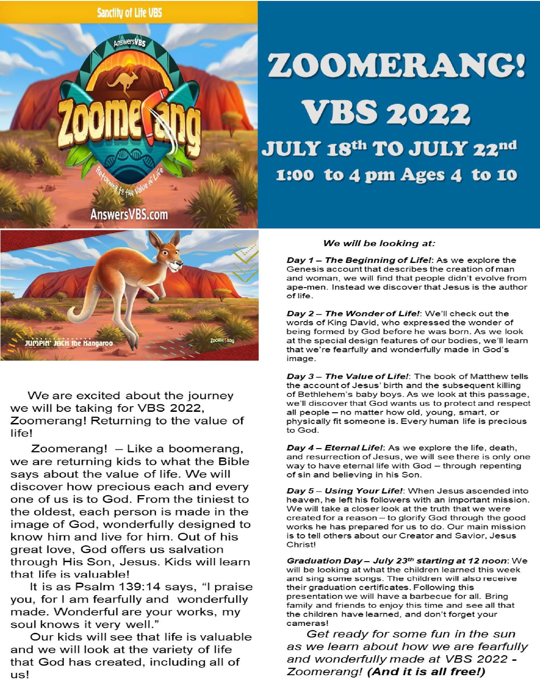

## ZOOMERANG! **VBS 2022**

JULY 18th TO JULY 22nd 1:00 to 4 pm Ages 4 to 10



We are excited about the journey we will be taking for VBS 2022, Zoomerang! Returning to the value of life!

Zoomerang! - Like a boomerang, we are returning kids to what the Bible says about the value of life. We will discover how precious each and every one of us is to God. From the tiniest to the oldest, each person is made in the image of God, wonderfully designed to know him and live for him. Out of his great love, God offers us salvation through His Son, Jesus. Kids will learn that life is valuable!

It is as Psalm 139:14 says, "I praise you, for I am fearfully and wonderfully made. Wonderful are your works, my soul knows it very well."

Our kids will see that life is valuable and we will look at the variety of life that God has created, including all of us!

## We will be looking at:

Day  $1 -$  The Beginning of Life!: As we explore the Genesis account that describes the creation of man and woman, we will find that people didn't evolve from ape-men. Instead we discover that Jesus is the author of life.

Day 2- The Wonder of Life!: We'll check out the words of King David, who expressed the wonder of being formed by God before he was born. As we look at the special design features of our bodies, we'll learn that we're fearfully and wonderfully made in God's image.

Day 3 - The Value of Life!: The book of Matthew tells the account of Jesus' birth and the subsequent killing of Bethlehem's baby boys. As we look at this passage, we'll discover that God wants us to protect and respect all people - no matter how old, young, smart, or physically fit someone is. Every human life is precious to God.

Day 4 - Eternal Life!: As we explore the life, death, and resurrection of Jesus, we will see there is only one way to have eternal life with God - through repenting of sin and believing in his Son.

Day 5 - Using Your Life!: When Jesus ascended into heaven, he left his followers with an important mission. We will take a closer look at the truth that we were created for a reason - to glorify God through the good works he has prepared for us to do. Our main mission is to tell others about our Creator and Savior, Jesus Christ!

Graduation Day- July *23th* starting at *12* noon: We will be looking at what the children learned this week and sing some songs. The children will also receive their graduation certificates. Following this presentation we will have a barbecue for all. Bring family and friends to enjoy this time and see all that the children have learned, and don't forget your cameras!

Get ready for some fun in the sun as we learn about how we are fearfully and wonderfully made at VBS 2022 - Zoomerang! **(And it is all free!)**